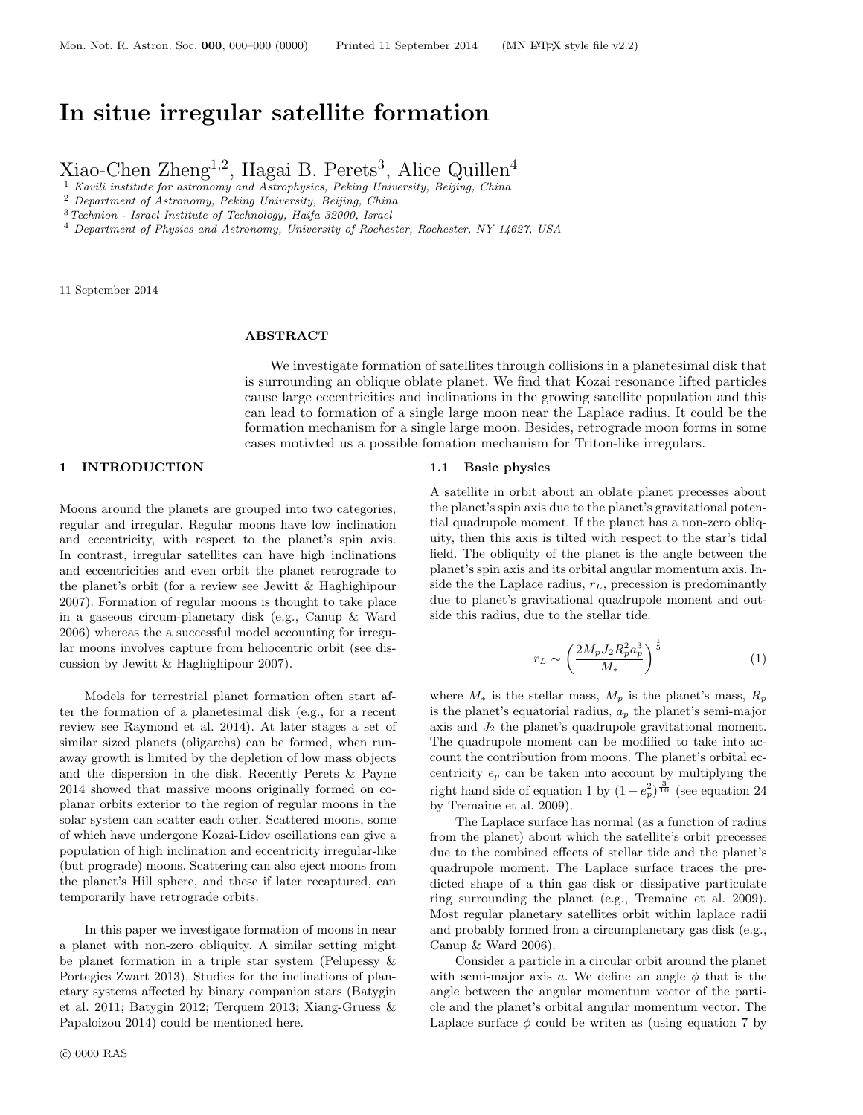# **In situe irregular satellite formation**

Xiao-Chen Zheng<sup>1,2</sup>, Hagai B. Perets<sup>3</sup>, Alice Quillen<sup>4</sup>

<sup>1</sup> *Kavili institute for astronomy and Astrophysics, Peking University, Beijing, China*

<sup>2</sup> *Department of Astronomy, Peking University, Beijing, China*

<sup>3</sup>*Technion - Israel Institute of Technology, Haifa 32000, Israel*

<sup>4</sup> *Department of Physics and Astronomy, University of Rochester, Rochester, NY 14627, USA*

11 September 2014

## **ABSTRACT**

We investigate formation of satellites through collisions in a planetesimal disk that is surrounding an oblique oblate planet. We find that Kozai resonance lifted particles cause large eccentricities and inclinations in the growing satellite population and this can lead to formation of a single large moon near the Laplace radius. It could be the formation mechanism for a single large moon. Besides, retrograde moon forms in some cases motivted us a possible fomation mechanism for Triton-like irregulars.

## **1 INTRODUCTION**

Moons around the planets are grouped into two categories, regular and irregular. Regular moons have low inclination and eccentricity, with respect to the planet's spin axis. In contrast, irregular satellites can have high inclinations and eccentricities and even orbit the planet retrograde to the planet's orbit (for a review see Jewitt & Haghighipour 2007). Formation of regular moons is thought to take place in a gaseous circum-planetary disk (e.g., Canup & Ward 2006) whereas the a successful model accounting for irregular moons involves capture from heliocentric orbit (see discussion by Jewitt & Haghighipour 2007).

Models for terrestrial planet formation often start after the formation of a planetesimal disk (e.g., for a recent review see Raymond et al. 2014). At later stages a set of similar sized planets (oligarchs) can be formed, when runaway growth is limited by the depletion of low mass objects and the dispersion in the disk. Recently Perets & Payne 2014 showed that massive moons originally formed on coplanar orbits exterior to the region of regular moons in the solar system can scatter each other. Scattered moons, some of which have undergone Kozai-Lidov oscillations can give a population of high inclination and eccentricity irregular-like (but prograde) moons. Scattering can also eject moons from the planet's Hill sphere, and these if later recaptured, can temporarily have retrograde orbits.

In this paper we investigate formation of moons in near a planet with non-zero obliquity. A similar setting might be planet formation in a triple star system (Pelupessy & Portegies Zwart 2013). Studies for the inclinations of planetary systems affected by binary companion stars (Batygin et al. 2011; Batygin 2012; Terquem 2013; Xiang-Gruess & Papaloizou 2014) could be mentioned here.

#### **1.1 Basic physics**

A satellite in orbit about an oblate planet precesses about the planet's spin axis due to the planet's gravitational potential quadrupole moment. If the planet has a non-zero obliquity, then this axis is tilted with respect to the star's tidal field. The obliquity of the planet is the angle between the planet's spin axis and its orbital angular momentum axis. Inside the the Laplace radius, *rL*, precession is predominantly due to planet's gravitational quadrupole moment and outside this radius, due to the stellar tide.

$$
r_L \sim \left(\frac{2M_p J_2 R_p^2 a_p^3}{M_*}\right)^{\frac{1}{5}}\tag{1}
$$

where  $M_*$  is the stellar mass,  $M_p$  is the planet's mass,  $R_p$ is the planet's equatorial radius, *a<sup>p</sup>* the planet's semi-major axis and *J*<sup>2</sup> the planet's quadrupole gravitational moment. The quadrupole moment can be modified to take into account the contribution from moons. The planet's orbital eccentricity *e<sup>p</sup>* can be taken into account by multiplying the right hand side of equation 1 by  $(1 - e_p^2)^{\frac{3}{10}}$  (see equation 24 by Tremaine et al. 2009).

The Laplace surface has normal (as a function of radius from the planet) about which the satellite's orbit precesses due to the combined effects of stellar tide and the planet's quadrupole moment. The Laplace surface traces the predicted shape of a thin gas disk or dissipative particulate ring surrounding the planet (e.g., Tremaine et al. 2009). Most regular planetary satellites orbit within laplace radii and probably formed from a circumplanetary gas disk (e.g., Canup & Ward 2006).

Consider a particle in a circular orbit around the planet with semi-major axis  $a$ . We define an angle  $\phi$  that is the angle between the angular momentum vector of the particle and the planet's orbital angular momentum vector. The Laplace surface  $\phi$  could be writen as (using equation 7 by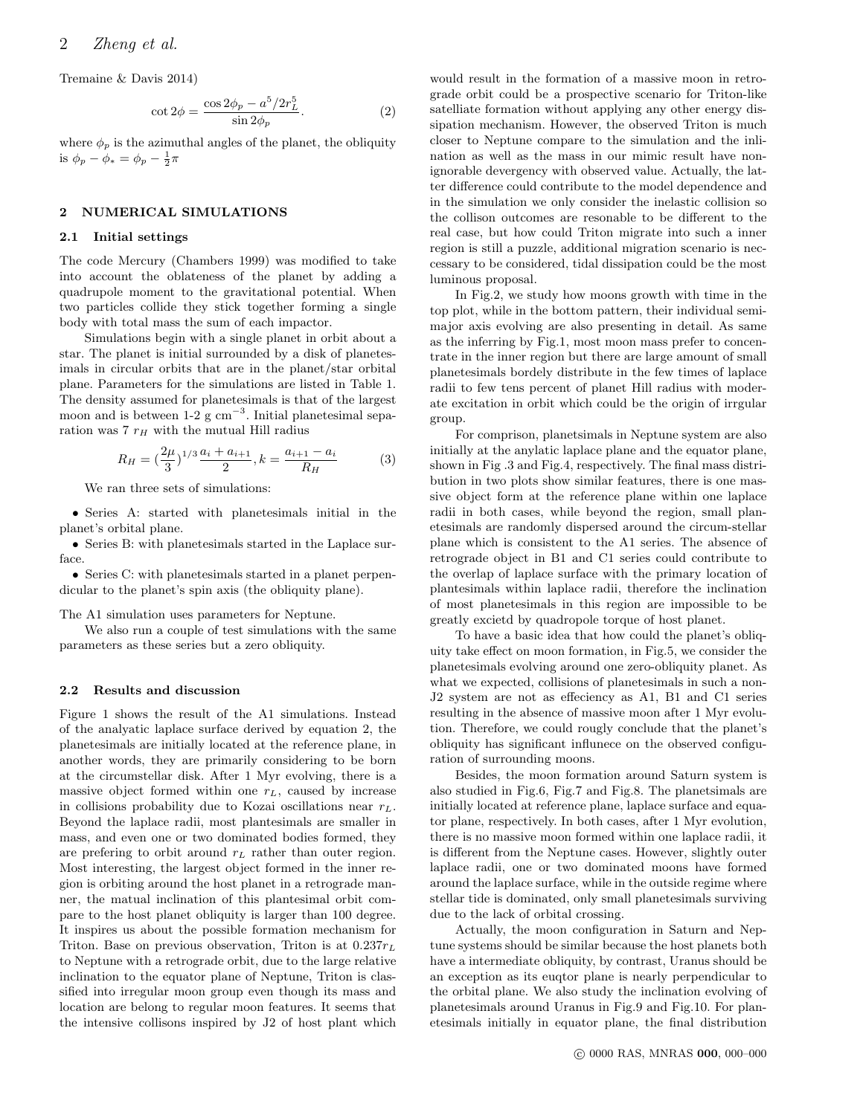Tremaine & Davis 2014)

$$
\cot 2\phi = \frac{\cos 2\phi_p - a^5 / 2r_L^5}{\sin 2\phi_p}.
$$
 (2)

where  $\phi_p$  is the azimuthal angles of the planet, the obliquity is  $\phi_p - \phi_* = \phi_p - \frac{1}{2}\pi$ 

## **2 NUMERICAL SIMULATIONS**

#### **2.1 Initial settings**

The code Mercury (Chambers 1999) was modified to take into account the oblateness of the planet by adding a quadrupole moment to the gravitational potential. When two particles collide they stick together forming a single body with total mass the sum of each impactor.

Simulations begin with a single planet in orbit about a star. The planet is initial surrounded by a disk of planetesimals in circular orbits that are in the planet/star orbital plane. Parameters for the simulations are listed in Table 1. The density assumed for planetesimals is that of the largest moon and is between 1-2 g cm*−*<sup>3</sup> . Initial planetesimal separation was 7 *r<sup>H</sup>* with the mutual Hill radius

$$
R_H = \left(\frac{2\mu}{3}\right)^{1/3} \frac{a_i + a_{i+1}}{2}, k = \frac{a_{i+1} - a_i}{R_H} \tag{3}
$$

We ran three sets of simulations:

*•* Series A: started with planetesimals initial in the planet's orbital plane.

*•* Series B: with planetesimals started in the Laplace surface.

*•* Series C: with planetesimals started in a planet perpendicular to the planet's spin axis (the obliquity plane).

The A1 simulation uses parameters for Neptune.

We also run a couple of test simulations with the same parameters as these series but a zero obliquity.

## **2.2 Results and discussion**

Figure 1 shows the result of the A1 simulations. Instead of the analyatic laplace surface derived by equation 2, the planetesimals are initially located at the reference plane, in another words, they are primarily considering to be born at the circumstellar disk. After 1 Myr evolving, there is a massive object formed within one *rL*, caused by increase in collisions probability due to Kozai oscillations near *rL*. Beyond the laplace radii, most plantesimals are smaller in mass, and even one or two dominated bodies formed, they are prefering to orbit around *r<sup>L</sup>* rather than outer region. Most interesting, the largest object formed in the inner region is orbiting around the host planet in a retrograde manner, the matual inclination of this plantesimal orbit compare to the host planet obliquity is larger than 100 degree. It inspires us about the possible formation mechanism for Triton. Base on previous observation, Triton is at 0*.*237*r<sup>L</sup>* to Neptune with a retrograde orbit, due to the large relative inclination to the equator plane of Neptune, Triton is classified into irregular moon group even though its mass and location are belong to regular moon features. It seems that the intensive collisons inspired by J2 of host plant which

would result in the formation of a massive moon in retrograde orbit could be a prospective scenario for Triton-like satelliate formation without applying any other energy dissipation mechanism. However, the observed Triton is much closer to Neptune compare to the simulation and the inlination as well as the mass in our mimic result have nonignorable devergency with observed value. Actually, the latter difference could contribute to the model dependence and in the simulation we only consider the inelastic collision so the collison outcomes are resonable to be different to the real case, but how could Triton migrate into such a inner region is still a puzzle, additional migration scenario is neccessary to be considered, tidal dissipation could be the most luminous proposal.

In Fig.2, we study how moons growth with time in the top plot, while in the bottom pattern, their individual semimajor axis evolving are also presenting in detail. As same as the inferring by Fig.1, most moon mass prefer to concentrate in the inner region but there are large amount of small planetesimals bordely distribute in the few times of laplace radii to few tens percent of planet Hill radius with moderate excitation in orbit which could be the origin of irrgular group.

For comprison, planetsimals in Neptune system are also initially at the anylatic laplace plane and the equator plane, shown in Fig .3 and Fig.4, respectively. The final mass distribution in two plots show similar features, there is one massive object form at the reference plane within one laplace radii in both cases, while beyond the region, small planetesimals are randomly dispersed around the circum-stellar plane which is consistent to the A1 series. The absence of retrograde object in B1 and C1 series could contribute to the overlap of laplace surface with the primary location of plantesimals within laplace radii, therefore the inclination of most planetesimals in this region are impossible to be greatly excietd by quadropole torque of host planet.

To have a basic idea that how could the planet's obliquity take effect on moon formation, in Fig.5, we consider the planetesimals evolving around one zero-obliquity planet. As what we expected, collisions of planetesimals in such a non-J2 system are not as effeciency as A1, B1 and C1 series resulting in the absence of massive moon after 1 Myr evolution. Therefore, we could rougly conclude that the planet's obliquity has significant influnece on the observed configuration of surrounding moons.

Besides, the moon formation around Saturn system is also studied in Fig.6, Fig.7 and Fig.8. The planetsimals are initially located at reference plane, laplace surface and equator plane, respectively. In both cases, after 1 Myr evolution, there is no massive moon formed within one laplace radii, it is different from the Neptune cases. However, slightly outer laplace radii, one or two dominated moons have formed around the laplace surface, while in the outside regime where stellar tide is dominated, only small planetesimals surviving due to the lack of orbital crossing.

Actually, the moon configuration in Saturn and Neptune systems should be similar because the host planets both have a intermediate obliquity, by contrast, Uranus should be an exception as its euqtor plane is nearly perpendicular to the orbital plane. We also study the inclination evolving of planetesimals around Uranus in Fig.9 and Fig.10. For planetesimals initially in equator plane, the final distribution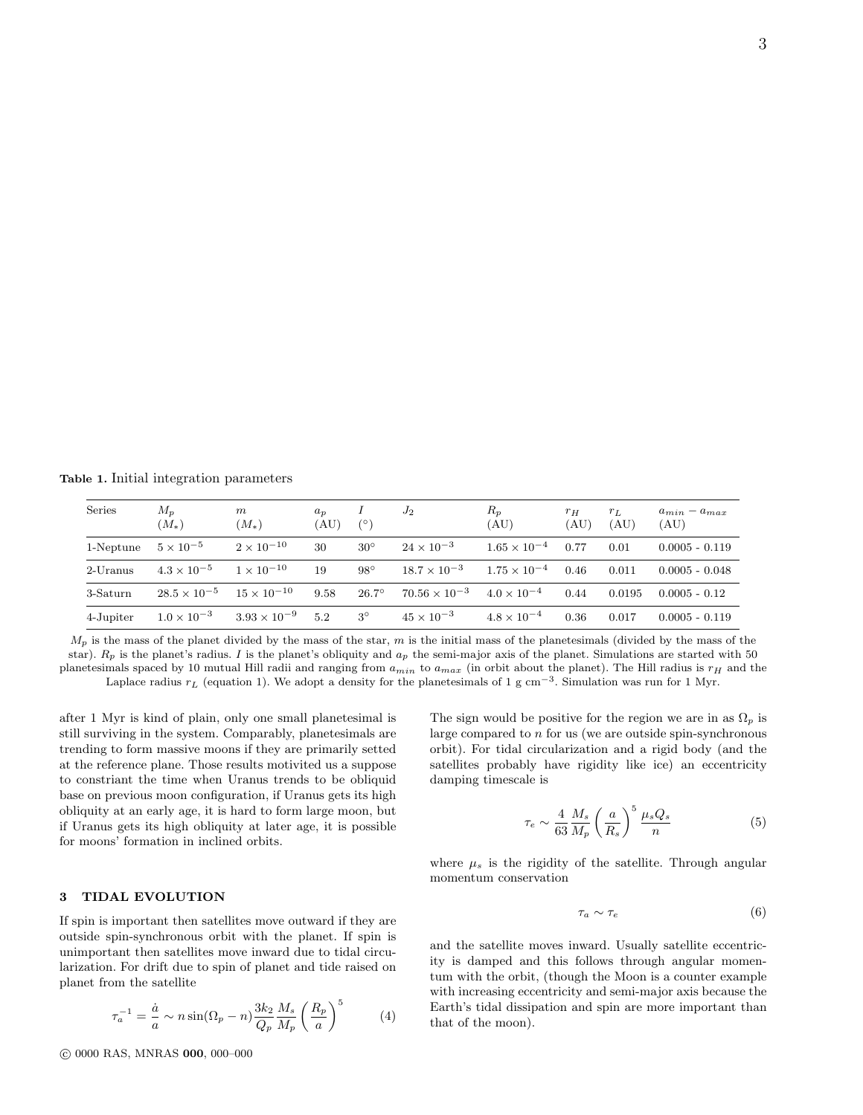3

**Table 1.** Initial integration parameters

| Series    | $M_{p}$<br>$(M_*)$                         | m<br>$(M_*)$          | $a_n$<br>(AU) | $(^\circ)$   | $J_2$                                       | $R_p$<br>(AU)         | $r_H$<br>(AU) | $r_L$<br>(AU) | $a_{min} - a_{max}$<br>(AU) |
|-----------|--------------------------------------------|-----------------------|---------------|--------------|---------------------------------------------|-----------------------|---------------|---------------|-----------------------------|
| 1-Neptune | $5 \times 10^{-5}$                         | $2 \times 10^{-10}$   | 30            | $30^\circ$   | $24 \times 10^{-3}$                         | $1.65 \times 10^{-4}$ | 0.77          | 0.01          | $0.0005 - 0.119$            |
| 2-Uranus  | $4.3 \times 10^{-5}$                       | $1 \times 10^{-10}$   | 19            | $98^\circ$   | $18.7 \times 10^{-3}$                       | $1.75 \times 10^{-4}$ | 0.46          | 0.011         | $0.0005 - 0.048$            |
| 3-Saturn  | $28.5 \times 10^{-5}$ $15 \times 10^{-10}$ |                       | 9.58          | $26.7^\circ$ | $70.56 \times 10^{-3}$ $4.0 \times 10^{-4}$ |                       | 0.44          | 0.0195        | $0.0005 - 0.12$             |
| 4-Jupiter | $1.0 \times 10^{-3}$                       | $3.93 \times 10^{-9}$ | 5.2           | $3^\circ$    | $45 \times 10^{-3}$                         | $4.8 \times 10^{-4}$  | 0.36          | 0.017         | $0.0005 - 0.119$            |

 $M_p$  is the mass of the planet divided by the mass of the star,  $m$  is the initial mass of the planetesimals (divided by the mass of the star). *Rp* is the planet's radius. *I* is the planet's obliquity and *ap* the semi-major axis of the planet. Simulations are started with 50 planetesimals spaced by 10 mutual Hill radii and ranging from  $a_{min}$  to  $a_{max}$  (in orbit about the planet). The Hill radius is  $r_H$  and the Laplace radius *r<sup>L</sup>* (equation 1). We adopt a density for the planetesimals of 1 g cm*−*<sup>3</sup> . Simulation was run for 1 Myr.

after 1 Myr is kind of plain, only one small planetesimal is still surviving in the system. Comparably, planetesimals are trending to form massive moons if they are primarily setted at the reference plane. Those results motivited us a suppose to constriant the time when Uranus trends to be obliquid base on previous moon configuration, if Uranus gets its high obliquity at an early age, it is hard to form large moon, but if Uranus gets its high obliquity at later age, it is possible for moons' formation in inclined orbits.

# **3 TIDAL EVOLUTION**

If spin is important then satellites move outward if they are outside spin-synchronous orbit with the planet. If spin is unimportant then satellites move inward due to tidal circularization. For drift due to spin of planet and tide raised on planet from the satellite

$$
\tau_a^{-1} = \frac{\dot{a}}{a} \sim n \sin(\Omega_p - n) \frac{3k_2}{Q_p} \frac{M_s}{M_p} \left(\frac{R_p}{a}\right)^5 \tag{4}
$$

The sign would be positive for the region we are in as  $\Omega_p$  is large compared to *n* for us (we are outside spin-synchronous orbit). For tidal circularization and a rigid body (and the satellites probably have rigidity like ice) an eccentricity damping timescale is

$$
\tau_e \sim \frac{4}{63} \frac{M_s}{M_p} \left(\frac{a}{R_s}\right)^5 \frac{\mu_s Q_s}{n} \tag{5}
$$

where  $\mu_s$  is the rigidity of the satellite. Through angular momentum conservation

$$
\tau_a \sim \tau_e \tag{6}
$$

and the satellite moves inward. Usually satellite eccentricity is damped and this follows through angular momentum with the orbit, (though the Moon is a counter example with increasing eccentricity and semi-major axis because the Earth's tidal dissipation and spin are more important than that of the moon).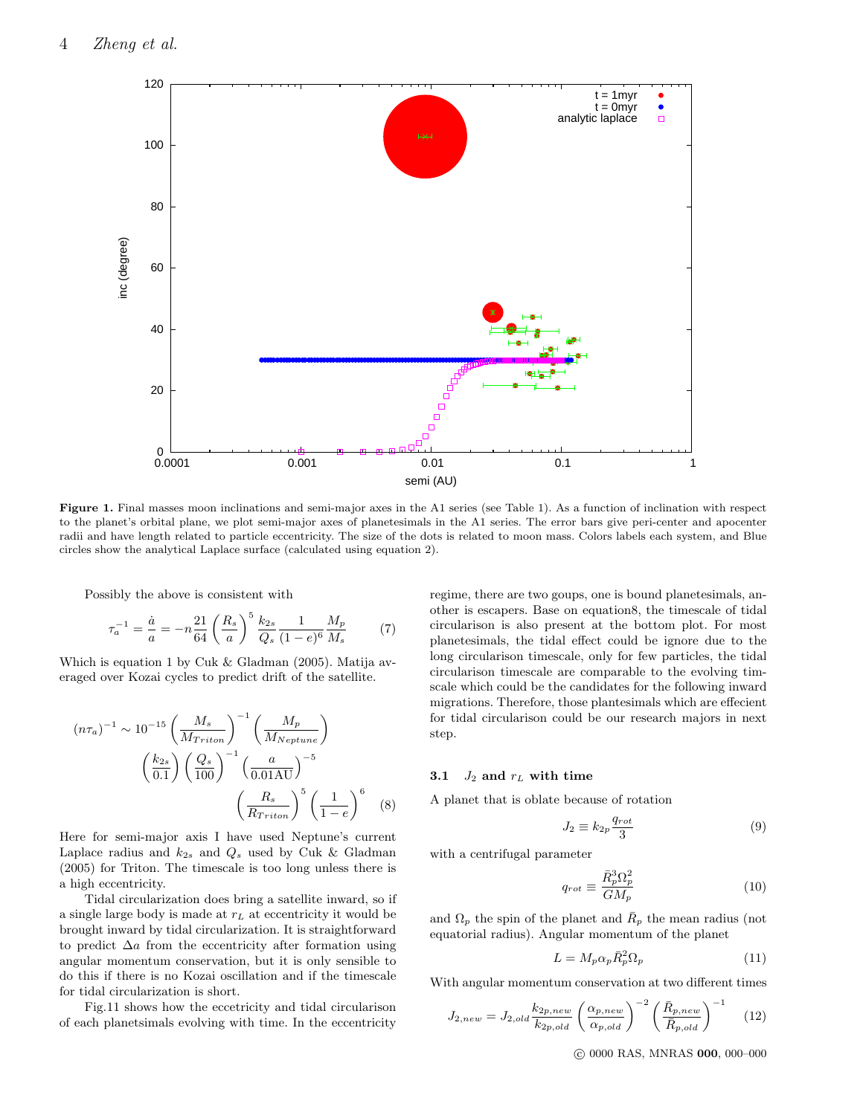

**Figure 1.** Final masses moon inclinations and semi-major axes in the A1 series (see Table 1). As a function of inclination with respect to the planet's orbital plane, we plot semi-major axes of planetesimals in the A1 series. The error bars give peri-center and apocenter radii and have length related to particle eccentricity. The size of the dots is related to moon mass. Colors labels each system, and Blue circles show the analytical Laplace surface (calculated using equation 2).

Possibly the above is consistent with

$$
\tau_a^{-1} = \frac{\dot{a}}{a} = -n \frac{21}{64} \left(\frac{R_s}{a}\right)^5 \frac{k_{2s}}{Q_s} \frac{1}{(1-e)^6} \frac{M_p}{M_s} \tag{7}
$$

Which is equation 1 by Cuk & Gladman (2005). Matija averaged over Kozai cycles to predict drift of the satellite.

$$
(n\tau_a)^{-1} \sim 10^{-15} \left(\frac{M_s}{M_{Triton}}\right)^{-1} \left(\frac{M_p}{M_{Neptune}}\right)
$$

$$
\left(\frac{k_{2s}}{0.1}\right) \left(\frac{Q_s}{100}\right)^{-1} \left(\frac{a}{0.01 \text{AU}}\right)^{-5}
$$

$$
\left(\frac{R_s}{R_{Triton}}\right)^5 \left(\frac{1}{1-e}\right)^6 \quad (8)
$$

Here for semi-major axis I have used Neptune's current Laplace radius and  $k_{2s}$  and  $Q_s$  used by Cuk  $\&$  Gladman (2005) for Triton. The timescale is too long unless there is a high eccentricity.

Tidal circularization does bring a satellite inward, so if a single large body is made at *r<sup>L</sup>* at eccentricity it would be brought inward by tidal circularization. It is straightforward to predict ∆*a* from the eccentricity after formation using angular momentum conservation, but it is only sensible to do this if there is no Kozai oscillation and if the timescale for tidal circularization is short.

Fig.11 shows how the eccetricity and tidal circularison of each planetsimals evolving with time. In the eccentricity

regime, there are two goups, one is bound planetesimals, another is escapers. Base on equation8, the timescale of tidal circularison is also present at the bottom plot. For most planetesimals, the tidal effect could be ignore due to the long circularison timescale, only for few particles, the tidal circularison timescale are comparable to the evolving timscale which could be the candidates for the following inward migrations. Therefore, those plantesimals which are effecient for tidal circularison could be our research majors in next step.

## **3.1** *J*<sub>2</sub> **and**  $r<sub>L</sub>$  **with time**

A planet that is oblate because of rotation

$$
J_2 \equiv k_{2p} \frac{q_{rot}}{3} \tag{9}
$$

with a centrifugal parameter

$$
q_{rot} \equiv \frac{\bar{R}_p^3 \Omega_p^2}{GM_p} \tag{10}
$$

and  $\Omega_p$  the spin of the planet and  $\overline{R}_p$  the mean radius (not equatorial radius). Angular momentum of the planet

$$
L = M_p \alpha_p \bar{R}_p^2 \Omega_p \tag{11}
$$

With angular momentum conservation at two different times

$$
J_{2,new} = J_{2,old} \frac{k_{2p,new}}{k_{2p,old}} \left(\frac{\alpha_{p,new}}{\alpha_{p,old}}\right)^{-2} \left(\frac{\bar{R}_{p,new}}{\bar{R}_{p,old}}\right)^{-1} \quad (12)
$$

*⃝*c 0000 RAS, MNRAS **000**, 000–000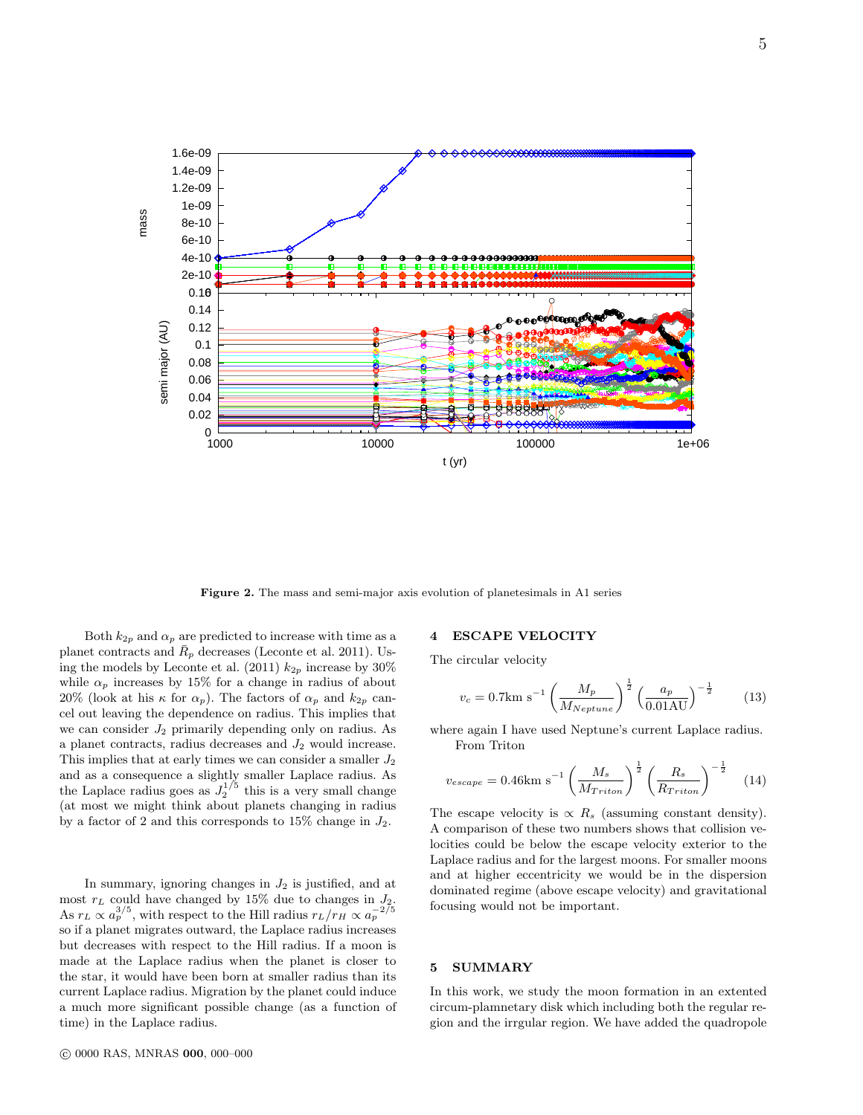

**Figure 2.** The mass and semi-major axis evolution of planetesimals in A1 series

Both  $k_{2p}$  and  $\alpha_p$  are predicted to increase with time as a planet contracts and  $\bar{R}_p$  decreases (Leconte et al. 2011). Using the models by Leconte et al. (2011)  $k_{2p}$  increase by 30% while  $\alpha_p$  increases by 15% for a change in radius of about 20% (look at his  $\kappa$  for  $\alpha_p$ ). The factors of  $\alpha_p$  and  $k_{2p}$  cancel out leaving the dependence on radius. This implies that we can consider *J*<sup>2</sup> primarily depending only on radius. As a planet contracts, radius decreases and *J*<sup>2</sup> would increase. This implies that at early times we can consider a smaller *J*<sup>2</sup> and as a consequence a slightly smaller Laplace radius. As the Laplace radius goes as  $J_2^{1/5}$  this is a very small change (at most we might think about planets changing in radius by a factor of 2 and this corresponds to 15% change in *J*2.

In summary, ignoring changes in  $J_2$  is justified, and at most *r<sup>L</sup>* could have changed by 15% due to changes in *J*2. As  $r_L \propto a_p^{3/5}$ , with respect to the Hill radius  $r_L/r_H \propto a_p^{-2/5}$ so if a planet migrates outward, the Laplace radius increases but decreases with respect to the Hill radius. If a moon is made at the Laplace radius when the planet is closer to the star, it would have been born at smaller radius than its current Laplace radius. Migration by the planet could induce a much more significant possible change (as a function of time) in the Laplace radius.

## *⃝*c 0000 RAS, MNRAS **000**, 000–000

#### **4 ESCAPE VELOCITY**

The circular velocity

$$
v_c = 0.7 \text{km s}^{-1} \left(\frac{M_p}{M_{Neptune}}\right)^{\frac{1}{2}} \left(\frac{a_p}{0.01 \text{AU}}\right)^{-\frac{1}{2}} \tag{13}
$$

where again I have used Neptune's current Laplace radius. From Triton

$$
v_{escape} = 0.46 \text{km s}^{-1} \left(\frac{M_s}{M_{Triton}}\right)^{\frac{1}{2}} \left(\frac{R_s}{R_{Triton}}\right)^{-\frac{1}{2}} \quad (14)
$$

The escape velocity is  $\propto R_s$  (assuming constant density). A comparison of these two numbers shows that collision velocities could be below the escape velocity exterior to the Laplace radius and for the largest moons. For smaller moons and at higher eccentricity we would be in the dispersion dominated regime (above escape velocity) and gravitational focusing would not be important.

# **5 SUMMARY**

In this work, we study the moon formation in an extented circum-plamnetary disk which including both the regular region and the irrgular region. We have added the quadropole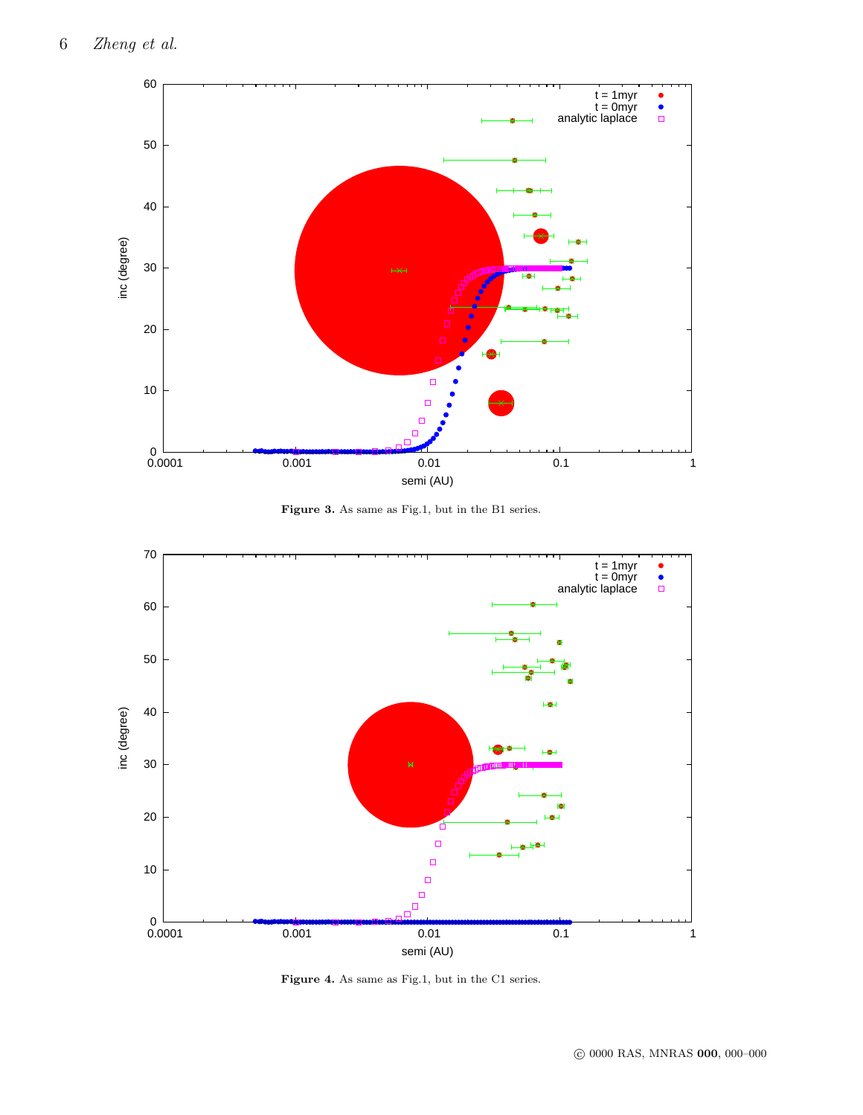

**Figure 3.** As same as Fig.1, but in the B1 series.



Figure 4. As same as Fig.1, but in the C1 series.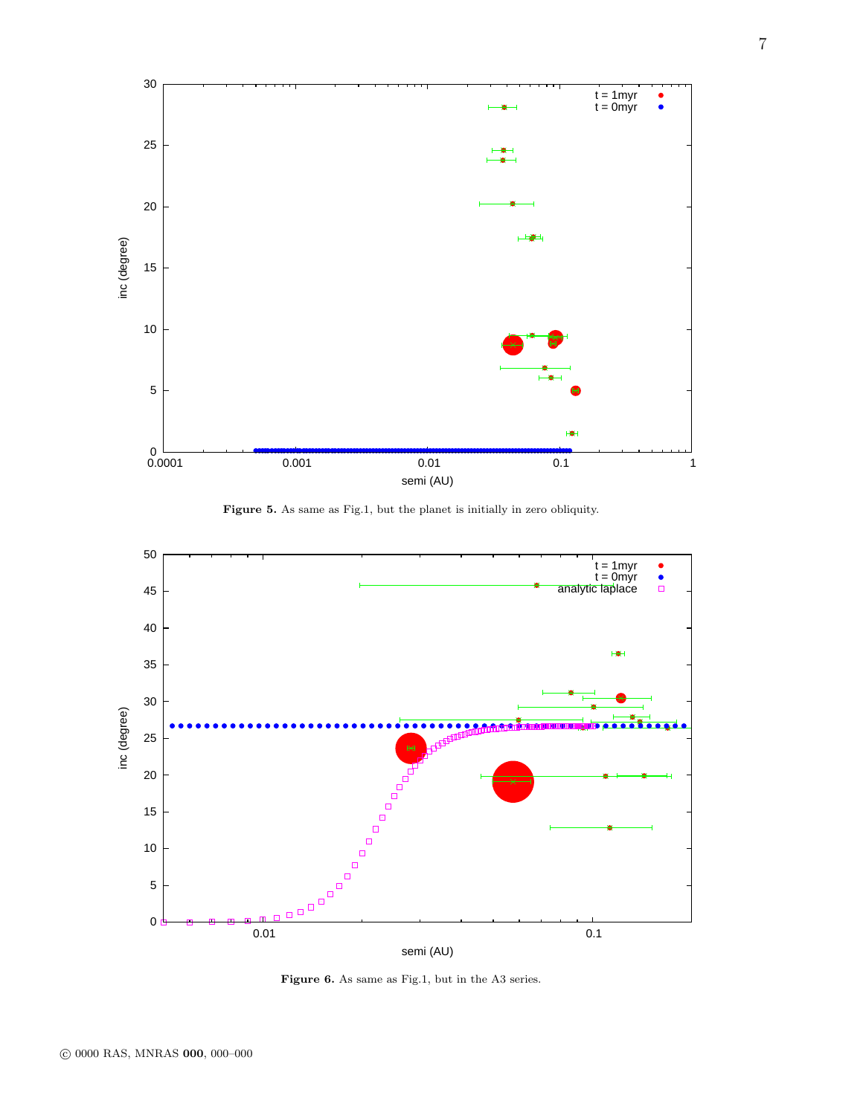

**Figure 5.** As same as Fig.1, but the planet is initially in zero obliquity.



**Figure 6.** As same as Fig.1, but in the A3 series.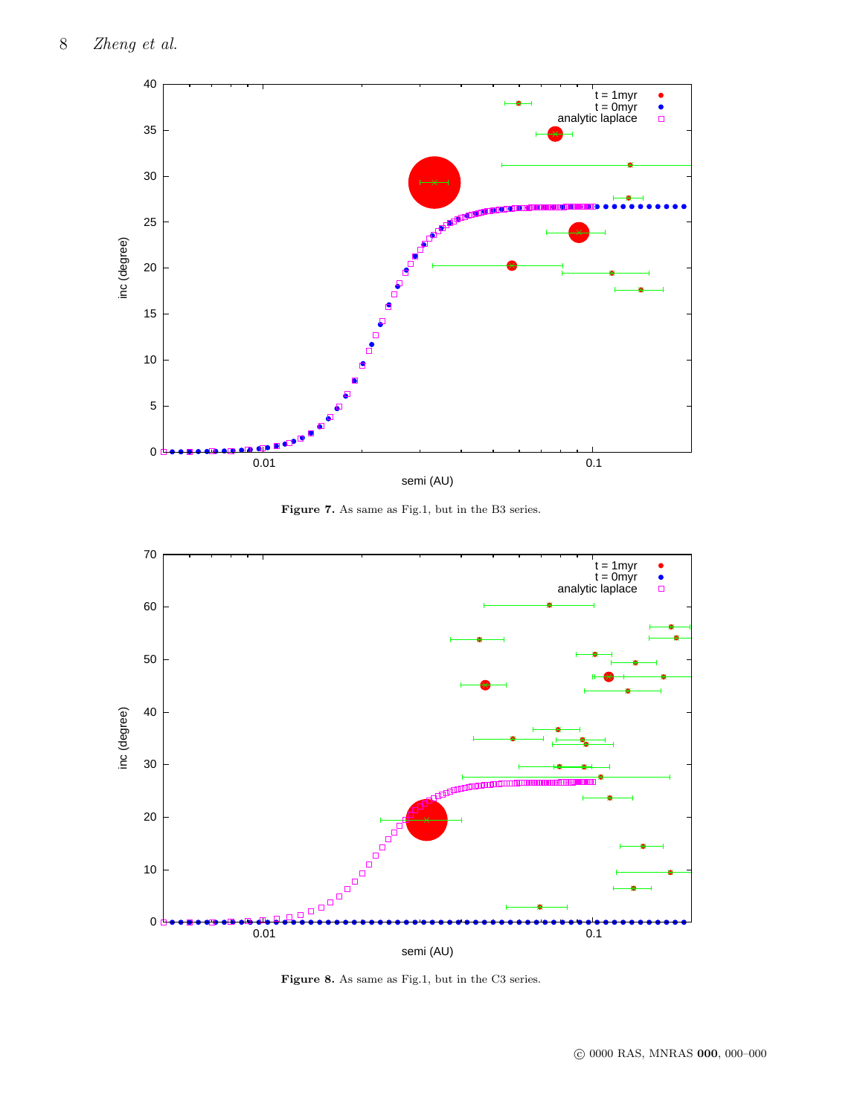

**Figure 7.** As same as Fig.1, but in the B3 series.



Figure 8. As same as Fig.1, but in the C3 series.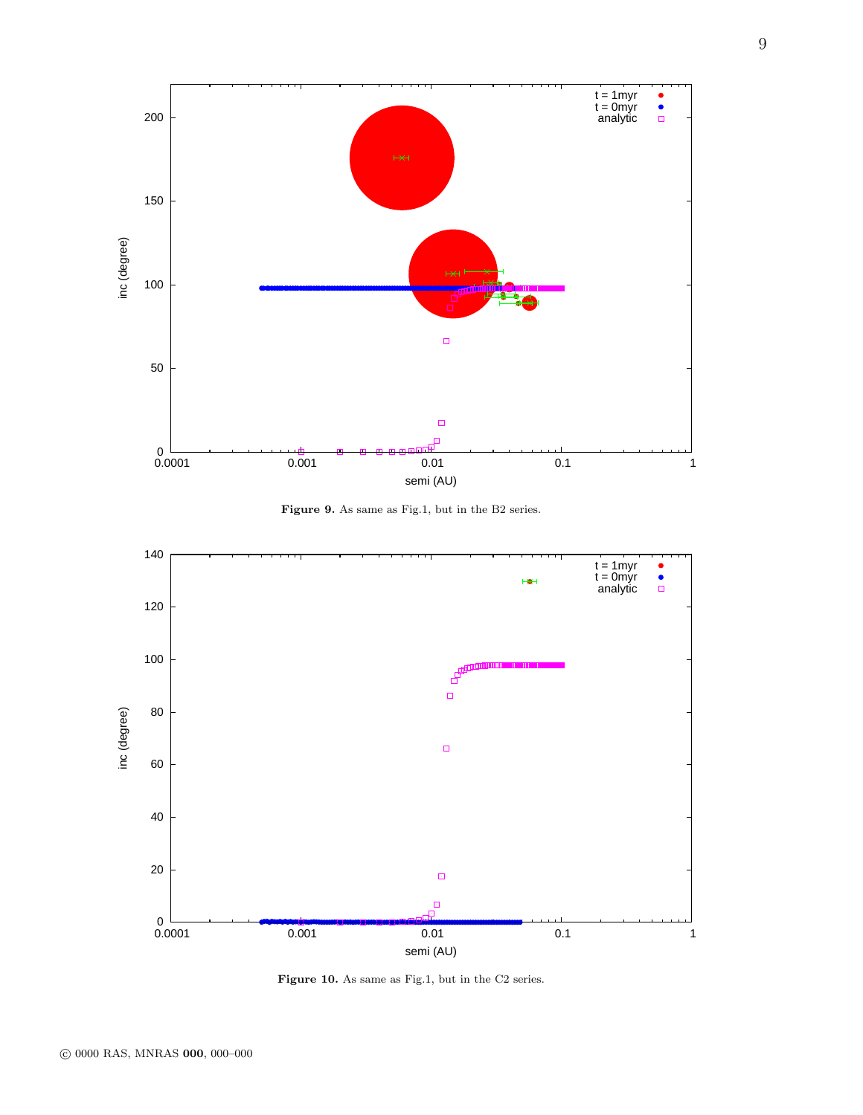

**Figure 9.** As same as Fig.1, but in the B2 series.



Figure 10. As same as Fig.1, but in the C2 series.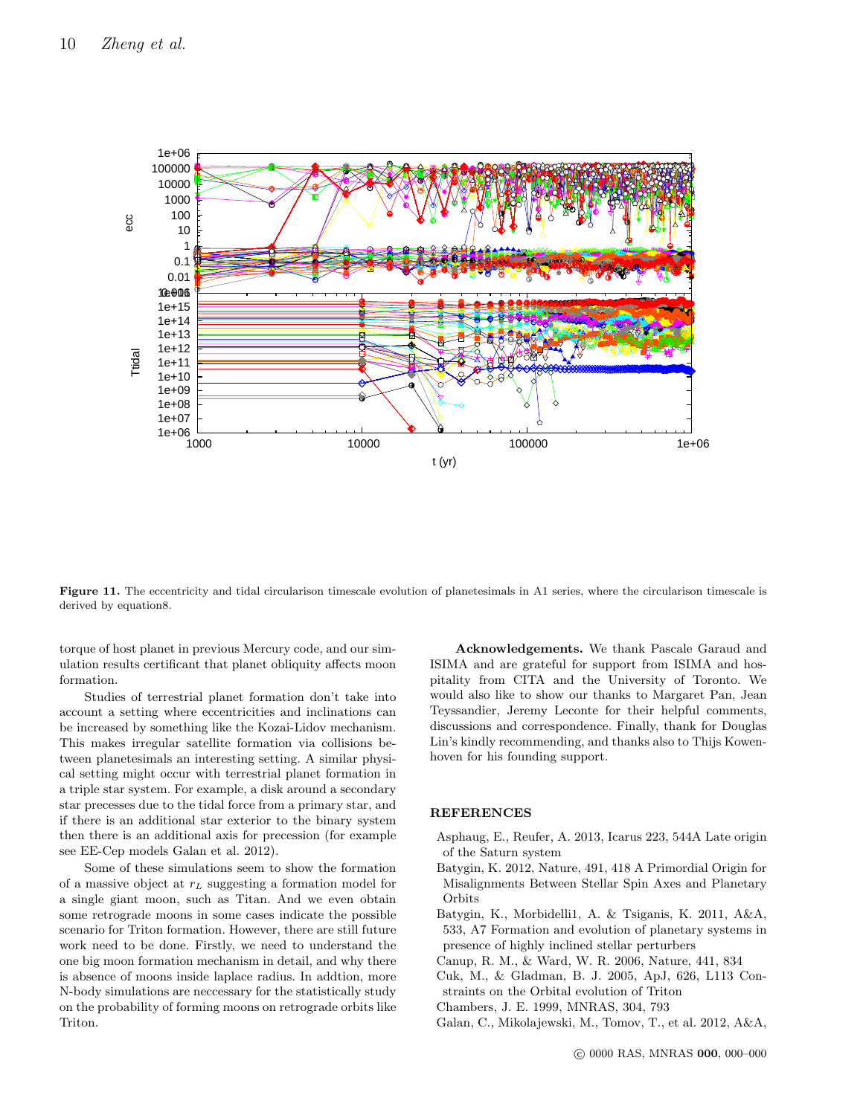

Figure 11. The eccentricity and tidal circularison timescale evolution of planetesimals in A1 series, where the circularison timescale is derived by equation8.

torque of host planet in previous Mercury code, and our simulation results certificant that planet obliquity affects moon formation.

Studies of terrestrial planet formation don't take into account a setting where eccentricities and inclinations can be increased by something like the Kozai-Lidov mechanism. This makes irregular satellite formation via collisions between planetesimals an interesting setting. A similar physical setting might occur with terrestrial planet formation in a triple star system. For example, a disk around a secondary star precesses due to the tidal force from a primary star, and if there is an additional star exterior to the binary system then there is an additional axis for precession (for example see EE-Cep models Galan et al. 2012).

Some of these simulations seem to show the formation of a massive object at *r<sup>L</sup>* suggesting a formation model for a single giant moon, such as Titan. And we even obtain some retrograde moons in some cases indicate the possible scenario for Triton formation. However, there are still future work need to be done. Firstly, we need to understand the one big moon formation mechanism in detail, and why there is absence of moons inside laplace radius. In addtion, more N-body simulations are neccessary for the statistically study on the probability of forming moons on retrograde orbits like Triton.

**Acknowledgements.** We thank Pascale Garaud and ISIMA and are grateful for support from ISIMA and hospitality from CITA and the University of Toronto. We would also like to show our thanks to Margaret Pan, Jean Teyssandier, Jeremy Leconte for their helpful comments, discussions and correspondence. Finally, thank for Douglas Lin's kindly recommending, and thanks also to Thijs Kowenhoven for his founding support.

## **REFERENCES**

- Asphaug, E., Reufer, A. 2013, Icarus 223, 544A Late origin of the Saturn system
- Batygin, K. 2012, Nature, 491, 418 A Primordial Origin for Misalignments Between Stellar Spin Axes and Planetary **Orbits**
- Batygin, K., Morbidelli1, A. & Tsiganis, K. 2011, A&A, 533, A7 Formation and evolution of planetary systems in presence of highly inclined stellar perturbers
- Canup, R. M., & Ward, W. R. 2006, Nature, 441, 834
- Cuk, M., & Gladman, B. J. 2005, ApJ, 626, L113 Constraints on the Orbital evolution of Triton
- Chambers, J. E. 1999, MNRAS, 304, 793
- Galan, C., Mikolajewski, M., Tomov, T., et al. 2012, A&A,